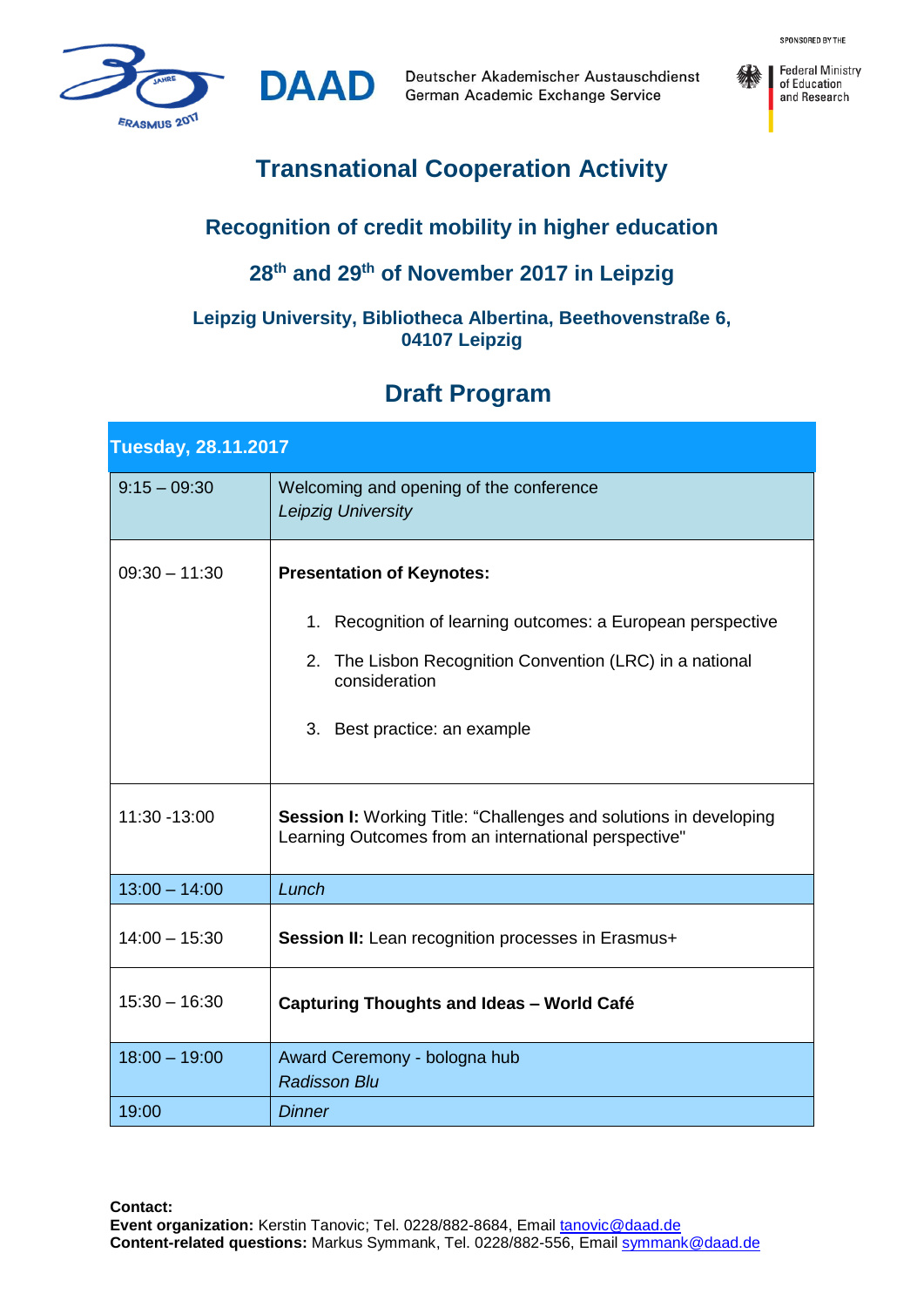

Deutscher Akademischer Austauschdienst German Academic Exchange Service



# **Transnational Cooperation Activity**

**DAAD** 

### **Recognition of credit mobility in higher education**

# **28th and 29th of November 2017 in Leipzig**

#### **Leipzig University, Bibliotheca Albertina, Beethovenstraße 6, 04107 Leipzig**

# **Draft Program**

| <b>Tuesday, 28.11.2017</b> |                                                                                                                                                                                                              |
|----------------------------|--------------------------------------------------------------------------------------------------------------------------------------------------------------------------------------------------------------|
| $9:15 - 09:30$             | Welcoming and opening of the conference<br><b>Leipzig University</b>                                                                                                                                         |
| $09:30 - 11:30$            | <b>Presentation of Keynotes:</b><br>1. Recognition of learning outcomes: a European perspective<br>2. The Lisbon Recognition Convention (LRC) in a national<br>consideration<br>3. Best practice: an example |
| 11:30 - 13:00              | <b>Session I:</b> Working Title: "Challenges and solutions in developing<br>Learning Outcomes from an international perspective"                                                                             |
| $13:00 - 14:00$            | Lunch                                                                                                                                                                                                        |
| $14:00 - 15:30$            | Session II: Lean recognition processes in Erasmus+                                                                                                                                                           |
| $15:30 - 16:30$            | <b>Capturing Thoughts and Ideas - World Café</b>                                                                                                                                                             |
| $18:00 - 19:00$            | Award Ceremony - bologna hub<br><b>Radisson Blu</b>                                                                                                                                                          |
| 19:00                      | Dinner                                                                                                                                                                                                       |